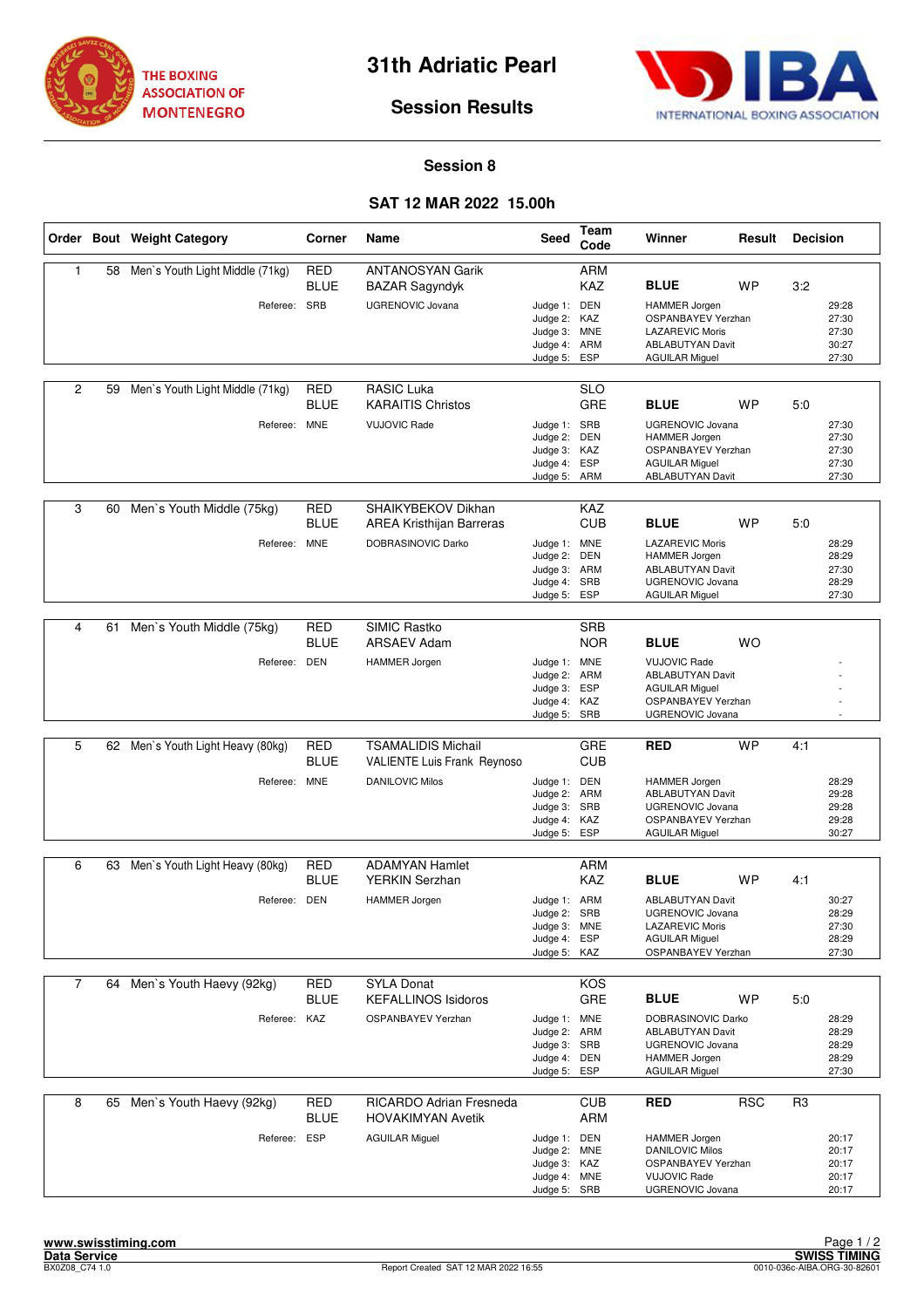



## **Session Results**

## **Session 8**

## **SAT 12 MAR 2022 15.00h**

|                |    | Order Bout Weight Category        | Corner                    | Name                                                            | <b>Seed</b>                                                                  | Team<br>Code             | Winner                                                                                                                      | Result     | <b>Decision</b> |                                           |
|----------------|----|-----------------------------------|---------------------------|-----------------------------------------------------------------|------------------------------------------------------------------------------|--------------------------|-----------------------------------------------------------------------------------------------------------------------------|------------|-----------------|-------------------------------------------|
| 1              | 58 | Men's Youth Light Middle (71kg)   | <b>RED</b><br><b>BLUE</b> | <b>ANTANOSYAN Garik</b><br><b>BAZAR Sagyndyk</b>                |                                                                              | <b>ARM</b><br><b>KAZ</b> | <b>BLUE</b>                                                                                                                 | <b>WP</b>  | 3:2             |                                           |
|                |    | Referee: SRB                      |                           | <b>UGRENOVIC Jovana</b>                                         | Judge 1: DEN<br>Judge 2: KAZ<br>Judge 3: MNE<br>Judge 4: ARM<br>Judge 5:     | ESP                      | <b>HAMMER Jorgen</b><br>OSPANBAYEV Yerzhan<br><b>LAZAREVIC Moris</b><br>ABLABUTYAN Davit<br><b>AGUILAR Miguel</b>           |            |                 | 29:28<br>27:30<br>27:30<br>30:27<br>27:30 |
| $\overline{2}$ | 59 | Men's Youth Light Middle (71kg)   | RED<br><b>BLUE</b>        | <b>RASIC Luka</b><br><b>KARAITIS Christos</b>                   |                                                                              | SLO<br><b>GRE</b>        | <b>BLUE</b>                                                                                                                 | <b>WP</b>  | 5:0             |                                           |
|                |    | Referee: MNE                      |                           | <b>VUJOVIC Rade</b>                                             | Judge 1: SRB<br>Judge 2: DEN<br>Judge 3: KAZ<br>Judge 4: ESP<br>Judge 5: ARM |                          | <b>UGRENOVIC Jovana</b><br><b>HAMMER Jorgen</b><br><b>OSPANBAYEV Yerzhan</b><br><b>AGUILAR Miguel</b><br>ABLABUTYAN Davit   |            |                 | 27:30<br>27:30<br>27:30<br>27:30<br>27:30 |
| 3              | 60 | Men's Youth Middle (75kg)         | <b>RED</b><br><b>BLUE</b> | SHAIKYBEKOV Dikhan<br><b>AREA Kristhijan Barreras</b>           |                                                                              | <b>KAZ</b><br><b>CUB</b> | <b>BLUE</b>                                                                                                                 | <b>WP</b>  | 5:0             |                                           |
|                |    | Referee:                          | <b>MNE</b>                | DOBRASINOVIC Darko                                              | Judge 1: MNE<br>Judge 2: DEN<br>Judge 3: ARM<br>Judge 4: SRB<br>Judge 5:     | ESP                      | <b>LAZAREVIC Moris</b><br><b>HAMMER Jorgen</b><br><b>ABLABUTYAN Davit</b><br>UGRENOVIC Jovana<br><b>AGUILAR Miguel</b>      |            |                 | 28:29<br>28:29<br>27:30<br>28:29<br>27:30 |
|                |    |                                   |                           |                                                                 |                                                                              |                          |                                                                                                                             |            |                 |                                           |
| 4              | 61 | Men's Youth Middle (75kg)         | <b>RED</b><br><b>BLUE</b> | SIMIC Rastko<br><b>ARSAEV Adam</b>                              |                                                                              | <b>SRB</b><br><b>NOR</b> | <b>BLUE</b>                                                                                                                 | <b>WO</b>  |                 |                                           |
|                |    | Referee: DEN                      |                           | <b>HAMMER</b> Jorgen                                            | Judge 1: MNE<br>Judge 2: ARM<br>Judge 3: ESP<br>Judge 4: KAZ<br>Judge 5: SRB |                          | <b>VUJOVIC Rade</b><br><b>ABLABUTYAN Davit</b><br><b>AGUILAR Miguel</b><br>OSPANBAYEV Yerzhan<br>UGRENOVIC Jovana           |            |                 |                                           |
|                |    |                                   |                           |                                                                 |                                                                              |                          |                                                                                                                             |            |                 |                                           |
| 5              |    | 62 Men's Youth Light Heavy (80kg) | <b>RED</b><br><b>BLUE</b> | <b>TSAMALIDIS Michail</b><br><b>VALIENTE Luis Frank Reynoso</b> |                                                                              | <b>GRE</b><br><b>CUB</b> | <b>RED</b>                                                                                                                  | <b>WP</b>  | 4:1             |                                           |
|                |    | Referee: MNE                      |                           | <b>DANILOVIC Milos</b>                                          | Judge 1: DEN<br>Judge 2: ARM<br>Judge 3: SRB<br>Judge 4: KAZ<br>Judge 5:     | ESP                      | <b>HAMMER Jorgen</b><br><b>ABLABUTYAN Davit</b><br><b>UGRENOVIC Jovana</b><br>OSPANBAYEV Yerzhan<br><b>AGUILAR Miguel</b>   |            |                 | 28:29<br>29:28<br>29:28<br>29:28<br>30:27 |
| 6              |    | Men's Youth Light Heavy (80kg)    |                           | <b>ADAMYAN Hamlet</b>                                           |                                                                              | <b>ARM</b>               |                                                                                                                             |            |                 |                                           |
|                | 63 |                                   | RED<br><b>BLUE</b>        | <b>YERKIN Serzhan</b>                                           |                                                                              | <b>KAZ</b>               | <b>BLUE</b>                                                                                                                 | <b>WP</b>  | 4:1             |                                           |
|                |    | Referee: DEN                      |                           | <b>HAMMER Jorgen</b>                                            | Judge 1: ARM<br>Judge 2: SRB<br>Judge 3: MNE<br>Judge 4: ESP<br>Judge 5: KAZ |                          | <b>ABLABUTYAN Davit</b><br><b>UGRENOVIC Jovana</b><br><b>LAZAREVIC Moris</b><br><b>AGUILAR Miguel</b><br>OSPANBAYEV Yerzhan |            |                 | 30:27<br>28:29<br>27:30<br>28:29<br>27:30 |
| $\overline{7}$ |    | 64 Men's Youth Haevy (92kg)       | <b>RED</b>                | <b>SYLA Donat</b>                                               |                                                                              | KOS                      |                                                                                                                             |            |                 |                                           |
|                |    |                                   | <b>BLUE</b>               | <b>KEFALLINOS Isidoros</b>                                      |                                                                              | GRE                      | <b>BLUE</b>                                                                                                                 | <b>WP</b>  | 5:0             |                                           |
|                |    | Referee: KAZ                      |                           | OSPANBAYEV Yerzhan                                              | Judge 1: MNE<br>Judge 2: ARM<br>Judge 3: SRB<br>Judge 4: DEN<br>Judge 5: ESP |                          | DOBRASINOVIC Darko<br>ABLABUTYAN Davit<br>UGRENOVIC Jovana<br>HAMMER Jorgen<br><b>AGUILAR Miguel</b>                        |            |                 | 28:29<br>28:29<br>28:29<br>28:29<br>27:30 |
| 8              | 65 | Men's Youth Haevy (92kg)          | <b>RED</b><br><b>BLUE</b> | <b>RICARDO Adrian Fresneda</b><br><b>HOVAKIMYAN Avetik</b>      |                                                                              | <b>CUB</b><br>ARM        | <b>RED</b>                                                                                                                  | <b>RSC</b> | R <sub>3</sub>  |                                           |
|                |    | Referee: ESP                      |                           | <b>AGUILAR Miguel</b>                                           | Judge 1: DEN<br>Judge 2: MNE<br>Judge 3: KAZ<br>Judge 4: MNE<br>Judge 5: SRB |                          | <b>HAMMER Jorgen</b><br><b>DANILOVIC Milos</b><br><b>OSPANBAYEV Yerzhan</b><br><b>VUJOVIC Rade</b><br>UGRENOVIC Jovana      |            |                 | 20:17<br>20:17<br>20:17<br>20:17<br>20:17 |